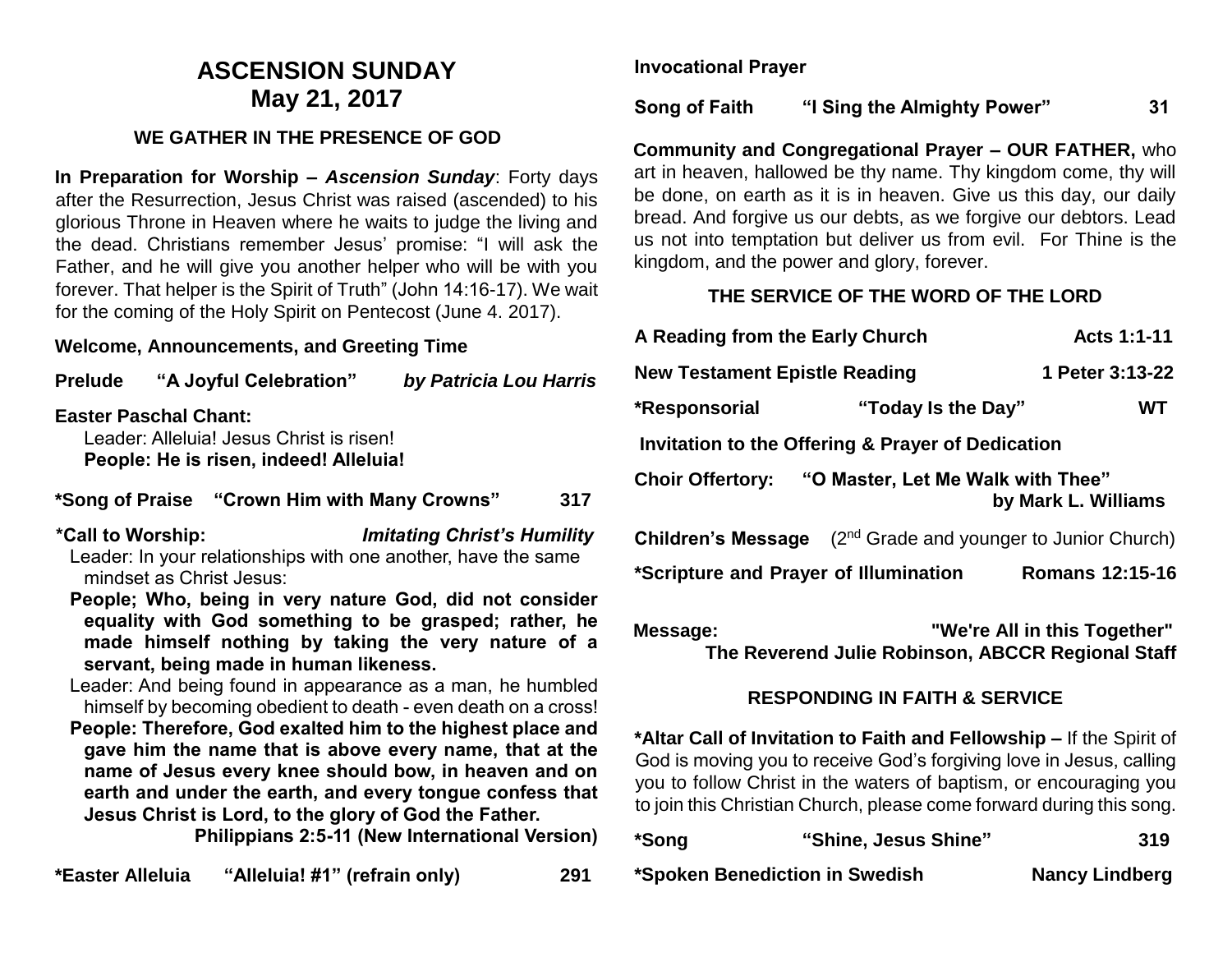# **ASCENSION SUNDAY May 21, 2017**

## **WE GATHER IN THE PRESENCE OF GOD**

**In Preparation for Worship –** *Ascension Sunday*: Forty days after the Resurrection, Jesus Christ was raised (ascended) to his glorious Throne in Heaven where he waits to judge the living and the dead. Christians remember Jesus' promise: "I will ask the Father, and he will give you another helper who will be with you forever. That helper is the Spirit of Truth" (John 14:16-17). We wait for the coming of the Holy Spirit on Pentecost (June 4. 2017).

#### **Welcome, Announcements, and Greeting Time**

| <b>Prelude</b>                                                                                                                                                                                                  |  | "A Joyful Celebration" | by Patricia Lou Harris                                                                                                                                                                             |  |  |  |
|-----------------------------------------------------------------------------------------------------------------------------------------------------------------------------------------------------------------|--|------------------------|----------------------------------------------------------------------------------------------------------------------------------------------------------------------------------------------------|--|--|--|
| <b>Easter Paschal Chant:</b><br>Leader: Alleluia! Jesus Christ is risen!<br>People: He is risen, indeed! Alleluia!                                                                                              |  |                        |                                                                                                                                                                                                    |  |  |  |
| *Song of Praise "Crown Him with Many Crowns"<br>317                                                                                                                                                             |  |                        |                                                                                                                                                                                                    |  |  |  |
| <b>Imitating Christ's Humility</b><br>*Call to Worship:<br>Leader: In your relationships with one another, have the same<br>mindset as Christ Jesus:<br>People; Who, being in very nature God, did not consider |  |                        |                                                                                                                                                                                                    |  |  |  |
| equality with God something to be grasped; rather, he<br>made himself nothing by taking the very nature of a<br>servant, being made in human likeness.                                                          |  |                        |                                                                                                                                                                                                    |  |  |  |
|                                                                                                                                                                                                                 |  |                        | Leader: And being found in appearance as a man, he humbled<br>himself by becoming obedient to death - even death on a cross!<br><b>Deanla: Therefore, Cad evalted him to the highest place and</b> |  |  |  |

**People: Therefore, God exalted him to the highest place and gave him the name that is above every name, that at the name of Jesus every knee should bow, in heaven and on earth and under the earth, and every tongue confess that Jesus Christ is Lord, to the glory of God the Father.**

**Philippians 2:5-11 (New International Version)**

**\*Easter Alleluia "Alleluia! #1" (refrain only) 291**

**Invocational Prayer**

**Song of Faith "I Sing the Almighty Power" 31**

**Community and Congregational Prayer – OUR FATHER,** who art in heaven, hallowed be thy name. Thy kingdom come, thy will be done, on earth as it is in heaven. Give us this day, our daily bread. And forgive us our debts, as we forgive our debtors. Lead us not into temptation but deliver us from evil. For Thine is the kingdom, and the power and glory, forever.

#### **THE SERVICE OF THE WORD OF THE LORD**

| A Reading from the Early Church                                           | Acts 1:1-11                                                             |    |  |  |  |  |
|---------------------------------------------------------------------------|-------------------------------------------------------------------------|----|--|--|--|--|
| <b>New Testament Epistle Reading</b>                                      | 1 Peter 3:13-22                                                         |    |  |  |  |  |
| *Responsorial                                                             | "Today Is the Day"                                                      | WТ |  |  |  |  |
| Invitation to the Offering & Prayer of Dedication                         |                                                                         |    |  |  |  |  |
| Choir Offertory: "O Master, Let Me Walk with Thee"<br>by Mark L. Williams |                                                                         |    |  |  |  |  |
|                                                                           | <b>Children's Message</b> $(2^{nd}$ Grade and younger to Junior Church) |    |  |  |  |  |
| *Scripture and Prayer of Illumination                                     | <b>Romans 12:15-16</b>                                                  |    |  |  |  |  |
|                                                                           |                                                                         |    |  |  |  |  |

**Message: "We're All in this Together" The Reverend Julie Robinson, ABCCR Regional Staff**

### **RESPONDING IN FAITH & SERVICE**

**\*Altar Call of Invitation to Faith and Fellowship –** If the Spirit of God is moving you to receive God's forgiving love in Jesus, calling you to follow Christ in the waters of baptism, or encouraging you to join this Christian Church, please come forward during this song.

| *Song                          | "Shine, Jesus Shine" | 319                   |
|--------------------------------|----------------------|-----------------------|
| *Spoken Benediction in Swedish |                      | <b>Nancy Lindberg</b> |